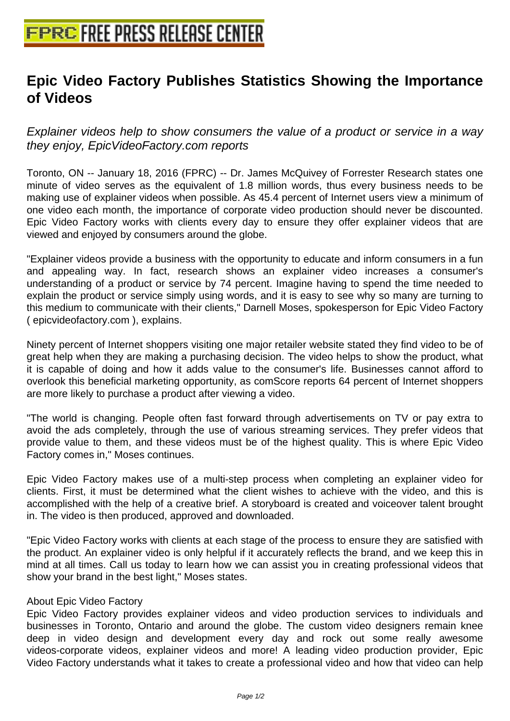## **[Epic Video Factory Publishes Stat](http://www.free-press-release-center.info)istics Showing the Importance of Videos**

Explainer videos help to show consumers the value of a product or service in a way they enjoy, EpicVideoFactory.com reports

Toronto, ON -- January 18, 2016 (FPRC) -- Dr. James McQuivey of Forrester Research states one minute of video serves as the equivalent of 1.8 million words, thus every business needs to be making use of explainer videos when possible. As 45.4 percent of Internet users view a minimum of one video each month, the importance of corporate video production should never be discounted. Epic Video Factory works with clients every day to ensure they offer explainer videos that are viewed and enjoyed by consumers around the globe.

"Explainer videos provide a business with the opportunity to educate and inform consumers in a fun and appealing way. In fact, research shows an explainer video increases a consumer's understanding of a product or service by 74 percent. Imagine having to spend the time needed to explain the product or service simply using words, and it is easy to see why so many are turning to this medium to communicate with their clients," Darnell Moses, spokesperson for Epic Video Factory ( epicvideofactory.com ), explains.

Ninety percent of Internet shoppers visiting one major retailer website stated they find video to be of great help when they are making a purchasing decision. The video helps to show the product, what it is capable of doing and how it adds value to the consumer's life. Businesses cannot afford to overlook this beneficial marketing opportunity, as comScore reports 64 percent of Internet shoppers are more likely to purchase a product after viewing a video.

"The world is changing. People often fast forward through advertisements on TV or pay extra to avoid the ads completely, through the use of various streaming services. They prefer videos that provide value to them, and these videos must be of the highest quality. This is where Epic Video Factory comes in," Moses continues.

Epic Video Factory makes use of a multi-step process when completing an explainer video for clients. First, it must be determined what the client wishes to achieve with the video, and this is accomplished with the help of a creative brief. A storyboard is created and voiceover talent brought in. The video is then produced, approved and downloaded.

"Epic Video Factory works with clients at each stage of the process to ensure they are satisfied with the product. An explainer video is only helpful if it accurately reflects the brand, and we keep this in mind at all times. Call us today to learn how we can assist you in creating professional videos that show your brand in the best light," Moses states.

## About Epic Video Factory

Epic Video Factory provides explainer videos and video production services to individuals and businesses in Toronto, Ontario and around the globe. The custom video designers remain knee deep in video design and development every day and rock out some really awesome videos-corporate videos, explainer videos and more! A leading video production provider, Epic Video Factory understands what it takes to create a professional video and how that video can help